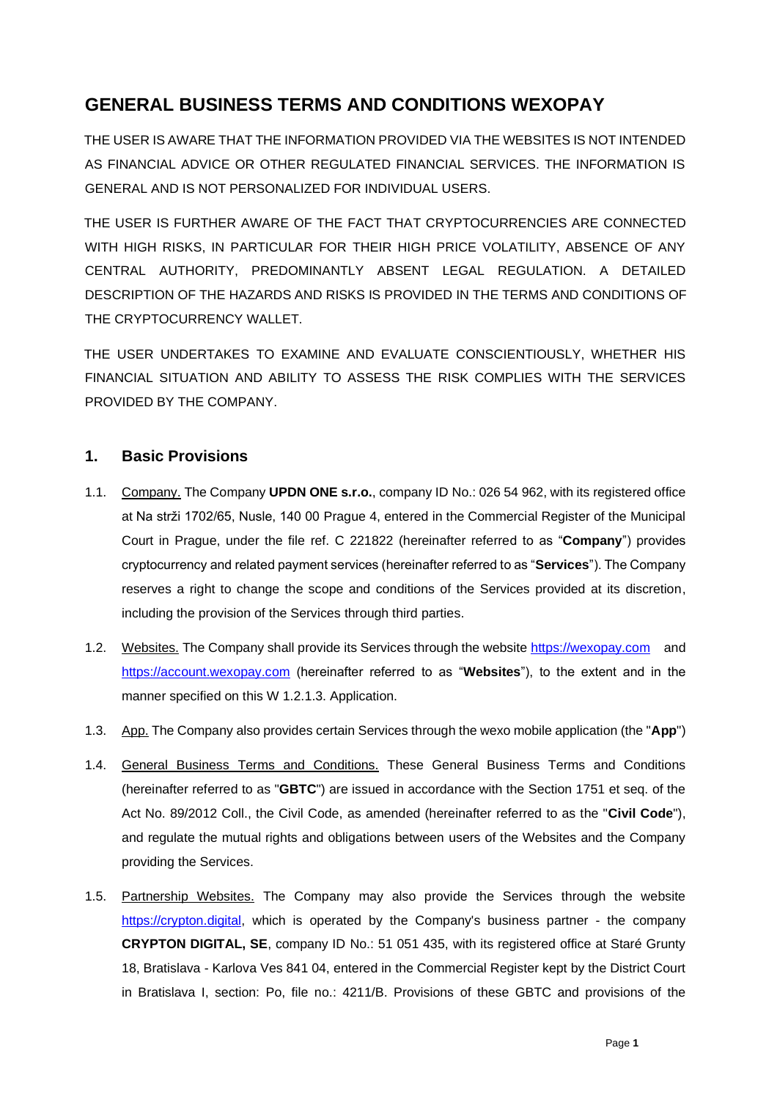# **GENERAL BUSINESS TERMS AND CONDITIONS WEXOPAY**

THE USER IS AWARE THAT THE INFORMATION PROVIDED VIA THE WEBSITES IS NOT INTENDED AS FINANCIAL ADVICE OR OTHER REGULATED FINANCIAL SERVICES. THE INFORMATION IS GENERAL AND IS NOT PERSONALIZED FOR INDIVIDUAL USERS.

THE USER IS FURTHER AWARE OF THE FACT THAT CRYPTOCURRENCIES ARE CONNECTED WITH HIGH RISKS, IN PARTICULAR FOR THEIR HIGH PRICE VOLATILITY, ABSENCE OF ANY CENTRAL AUTHORITY, PREDOMINANTLY ABSENT LEGAL REGULATION. A DETAILED DESCRIPTION OF THE HAZARDS AND RISKS IS PROVIDED IN THE TERMS AND CONDITIONS OF THE CRYPTOCURRENCY WALLET.

THE USER UNDERTAKES TO EXAMINE AND EVALUATE CONSCIENTIOUSLY, WHETHER HIS FINANCIAL SITUATION AND ABILITY TO ASSESS THE RISK COMPLIES WITH THE SERVICES PROVIDED BY THE COMPANY.

# **1. Basic Provisions**

- 1.1. Company. The Company **UPDN ONE s.r.o.**, company ID No.: 026 54 962, with its registered office at Na strži 1702/65, Nusle, 140 00 Prague 4, entered in the Commercial Register of the Municipal Court in Prague, under the file ref. C 221822 (hereinafter referred to as "**Company**") provides cryptocurrency and related payment services (hereinafter referred to as "**Services**"). The Company reserves a right to change the scope and conditions of the Services provided at its discretion, including the provision of the Services through third parties.
- 1.2. Websites. The Company shall provide its Services through the website https://wexopay.com and https://account.wexopay.com (hereinafter referred to as "**Websites**"), to the extent and in the manner specified on this W 1.2.1.3. Application.
- 1.3. App. The Company also provides certain Services through the wexo mobile application (the "**App**")
- 1.4. General Business Terms and Conditions. These General Business Terms and Conditions (hereinafter referred to as "**GBTC**") are issued in accordance with the Section 1751 et seq. of the Act No. 89/2012 Coll., the Civil Code, as amended (hereinafter referred to as the "**Civil Code**"), and regulate the mutual rights and obligations between users of the Websites and the Company providing the Services.
- 1.5. Partnership Websites. The Company may also provide the Services through the website https://crypton.digital, which is operated by the Company's business partner - the company **CRYPTON DIGITAL, SE**, company ID No.: 51 051 435, with its registered office at Staré Grunty 18, Bratislava - Karlova Ves 841 04, entered in the Commercial Register kept by the District Court in Bratislava I, section: Po, file no.: 4211/B. Provisions of these GBTC and provisions of the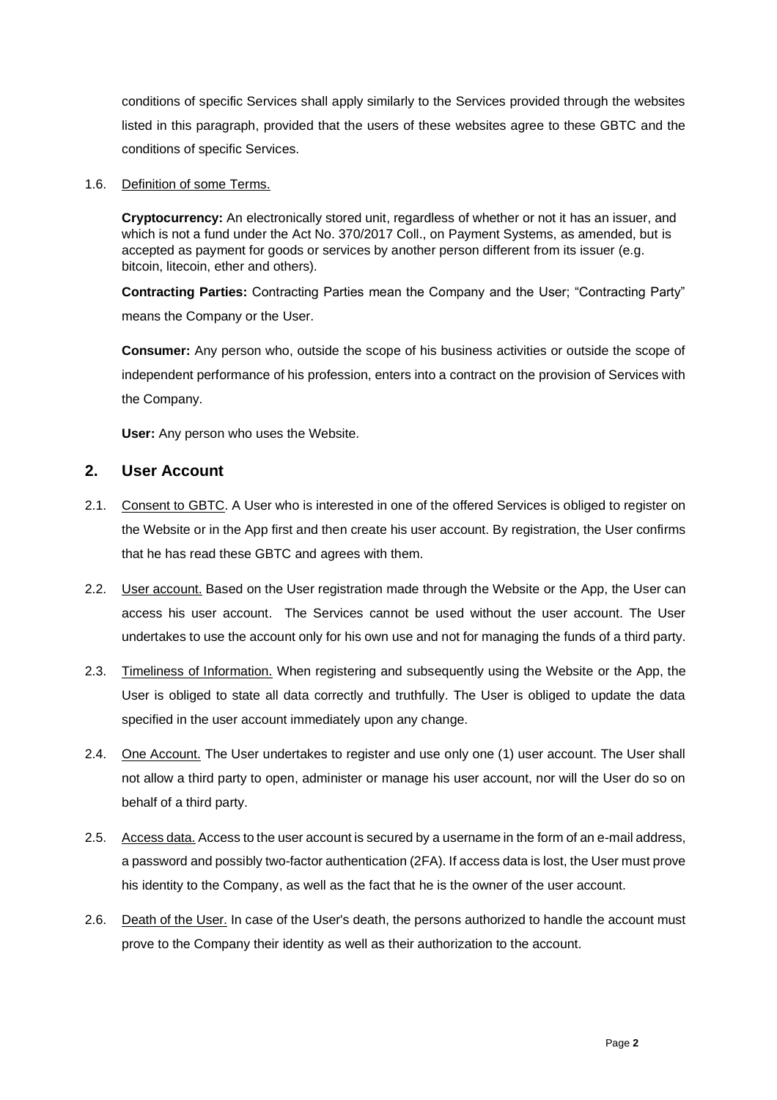conditions of specific Services shall apply similarly to the Services provided through the websites listed in this paragraph, provided that the users of these websites agree to these GBTC and the conditions of specific Services.

#### 1.6. Definition of some Terms.

**Cryptocurrency:** An electronically stored unit, regardless of whether or not it has an issuer, and which is not a fund under the Act No. 370/2017 Coll., on Payment Systems, as amended, but is accepted as payment for goods or services by another person different from its issuer (e.g. bitcoin, litecoin, ether and others).

**Contracting Parties:** Contracting Parties mean the Company and the User; "Contracting Party" means the Company or the User.

**Consumer:** Any person who, outside the scope of his business activities or outside the scope of independent performance of his profession, enters into a contract on the provision of Services with the Company.

**User:** Any person who uses the Website.

#### **2. User Account**

- 2.1. Consent to GBTC. A User who is interested in one of the offered Services is obliged to register on the Website or in the App first and then create his user account. By registration, the User confirms that he has read these GBTC and agrees with them.
- 2.2. User account. Based on the User registration made through the Website or the App, the User can access his user account. The Services cannot be used without the user account. The User undertakes to use the account only for his own use and not for managing the funds of a third party.
- 2.3. Timeliness of Information. When registering and subsequently using the Website or the App, the User is obliged to state all data correctly and truthfully. The User is obliged to update the data specified in the user account immediately upon any change.
- 2.4. One Account. The User undertakes to register and use only one (1) user account. The User shall not allow a third party to open, administer or manage his user account, nor will the User do so on behalf of a third party.
- 2.5. Accessdata. Access to the user account is secured by a username in the form of an e-mail address, a password and possibly two-factor authentication (2FA). If access data is lost, the User must prove his identity to the Company, as well as the fact that he is the owner of the user account.
- 2.6. Death of the User. In case of the User's death, the persons authorized to handle the account must prove to the Company their identity as well as their authorization to the account.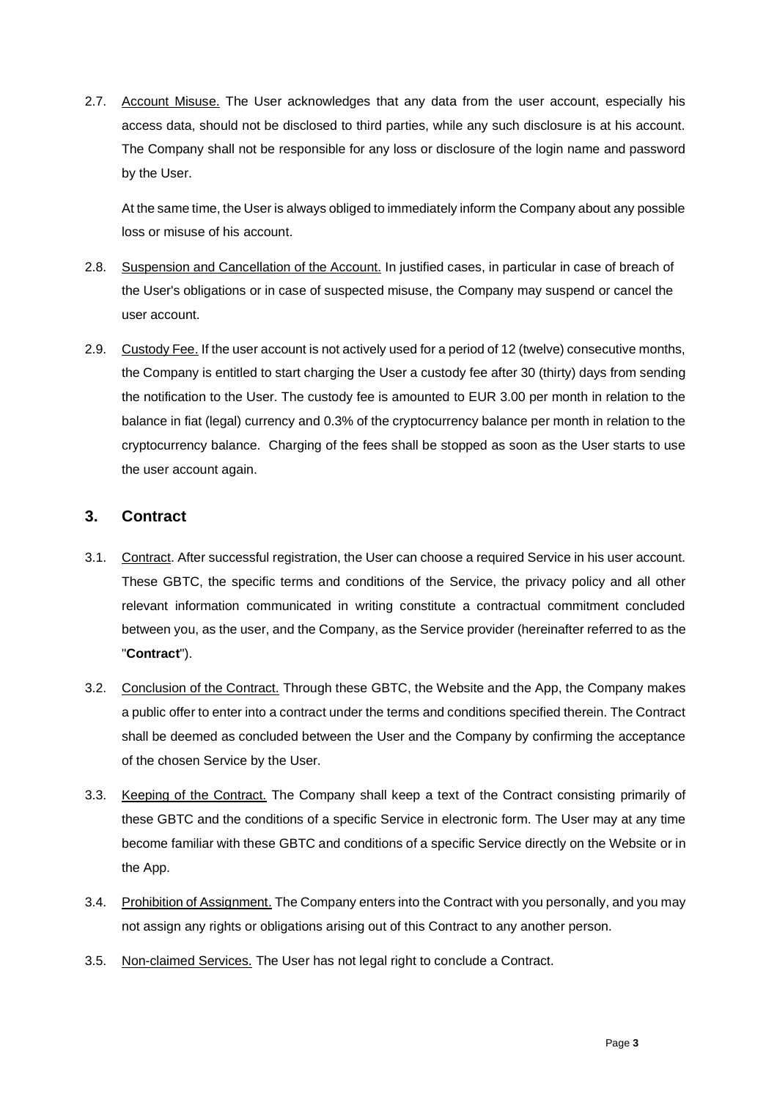2.7. Account Misuse. The User acknowledges that any data from the user account, especially his access data, should not be disclosed to third parties, while any such disclosure is at his account. The Company shall not be responsible for any loss or disclosure of the login name and password by the User.

At the same time, the User is always obliged to immediately inform the Company about any possible loss or misuse of his account.

- 2.8. Suspension and Cancellation of the Account. In justified cases, in particular in case of breach of the User's obligations or in case of suspected misuse, the Company may suspend or cancel the user account.
- 2.9. Custody Fee. If the user account is not actively used for a period of 12 (twelve) consecutive months, the Company is entitled to start charging the User a custody fee after 30 (thirty) days from sending the notification to the User. The custody fee is amounted to EUR 3.00 per month in relation to the balance in fiat (legal) currency and 0.3% of the cryptocurrency balance per month in relation to the cryptocurrency balance. Charging of the fees shall be stopped as soon as the User starts to use the user account again.

# **3. Contract**

- 3.1. Contract. After successful registration, the User can choose a required Service in his user account. These GBTC, the specific terms and conditions of the Service, the privacy policy and all other relevant information communicated in writing constitute a contractual commitment concluded between you, as the user, and the Company, as the Service provider (hereinafter referred to as the "**Contract**").
- 3.2. Conclusion of the Contract. Through these GBTC, the Website and the App, the Company makes a public offer to enter into a contract under the terms and conditions specified therein. The Contract shall be deemed as concluded between the User and the Company by confirming the acceptance of the chosen Service by the User.
- 3.3. Keeping of the Contract. The Company shall keep a text of the Contract consisting primarily of these GBTC and the conditions of a specific Service in electronic form. The User may at any time become familiar with these GBTC and conditions of a specific Service directly on the Website or in the App.
- 3.4. Prohibition of Assignment. The Company enters into the Contract with you personally, and you may not assign any rights or obligations arising out of this Contract to any another person.
- 3.5. Non-claimed Services. The User has not legal right to conclude a Contract.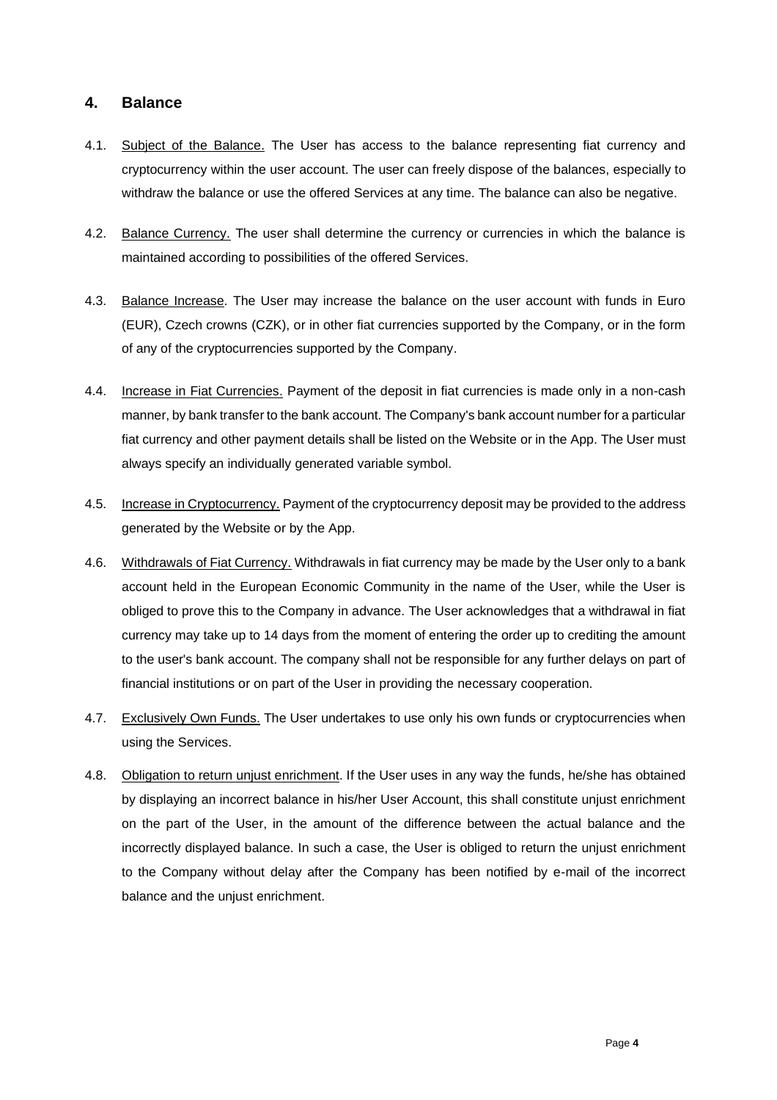# **4. Balance**

- 4.1. Subject of the Balance. The User has access to the balance representing fiat currency and cryptocurrency within the user account. The user can freely dispose of the balances, especially to withdraw the balance or use the offered Services at any time. The balance can also be negative.
- 4.2. Balance Currency. The user shall determine the currency or currencies in which the balance is maintained according to possibilities of the offered Services.
- 4.3. Balance Increase. The User may increase the balance on the user account with funds in Euro (EUR), Czech crowns (CZK), or in other fiat currencies supported by the Company, or in the form of any of the cryptocurrencies supported by the Company.
- 4.4. Increase in Fiat Currencies. Payment of the deposit in fiat currencies is made only in a non-cash manner, by bank transfer to the bank account. The Company's bank account number for a particular fiat currency and other payment details shall be listed on the Website or in the App. The User must always specify an individually generated variable symbol.
- 4.5. Increase in Cryptocurrency. Payment of the cryptocurrency deposit may be provided to the address generated by the Website or by the App.
- 4.6. Withdrawals of Fiat Currency. Withdrawals in fiat currency may be made by the User only to a bank account held in the European Economic Community in the name of the User, while the User is obliged to prove this to the Company in advance. The User acknowledges that a withdrawal in fiat currency may take up to 14 days from the moment of entering the order up to crediting the amount to the user's bank account. The company shall not be responsible for any further delays on part of financial institutions or on part of the User in providing the necessary cooperation.
- 4.7. Exclusively Own Funds. The User undertakes to use only his own funds or cryptocurrencies when using the Services.
- 4.8. Obligation to return unjust enrichment. If the User uses in any way the funds, he/she has obtained by displaying an incorrect balance in his/her User Account, this shall constitute unjust enrichment on the part of the User, in the amount of the difference between the actual balance and the incorrectly displayed balance. In such a case, the User is obliged to return the unjust enrichment to the Company without delay after the Company has been notified by e-mail of the incorrect balance and the unjust enrichment.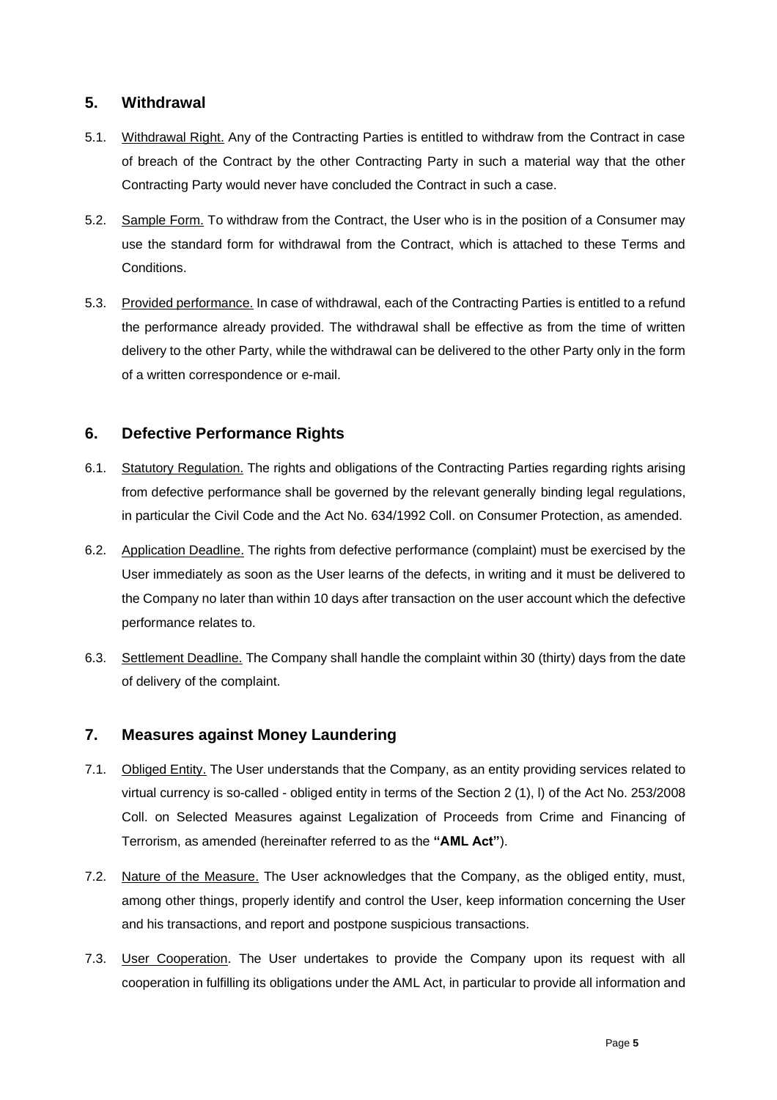# **5. Withdrawal**

- 5.1. Withdrawal Right. Any of the Contracting Parties is entitled to withdraw from the Contract in case of breach of the Contract by the other Contracting Party in such a material way that the other Contracting Party would never have concluded the Contract in such a case.
- 5.2. Sample Form. To withdraw from the Contract, the User who is in the position of a Consumer may use the standard form for withdrawal from the Contract, which is attached to these Terms and Conditions.
- 5.3. Provided performance. In case of withdrawal, each of the Contracting Parties is entitled to a refund the performance already provided. The withdrawal shall be effective as from the time of written delivery to the other Party, while the withdrawal can be delivered to the other Party only in the form of a written correspondence or e-mail.

# **6. Defective Performance Rights**

- 6.1. Statutory Regulation. The rights and obligations of the Contracting Parties regarding rights arising from defective performance shall be governed by the relevant generally binding legal regulations, in particular the Civil Code and the Act No. 634/1992 Coll. on Consumer Protection, as amended.
- 6.2. Application Deadline. The rights from defective performance (complaint) must be exercised by the User immediately as soon as the User learns of the defects, in writing and it must be delivered to the Company no later than within 10 days after transaction on the user account which the defective performance relates to.
- 6.3. Settlement Deadline. The Company shall handle the complaint within 30 (thirty) days from the date of delivery of the complaint.

### **7. Measures against Money Laundering**

- 7.1. Obliged Entity. The User understands that the Company, as an entity providing services related to virtual currency is so-called - obliged entity in terms of the Section 2 (1), l) of the Act No. 253/2008 Coll. on Selected Measures against Legalization of Proceeds from Crime and Financing of Terrorism, as amended (hereinafter referred to as the **"AML Act"**).
- 7.2. Nature of the Measure. The User acknowledges that the Company, as the obliged entity, must, among other things, properly identify and control the User, keep information concerning the User and his transactions, and report and postpone suspicious transactions.
- 7.3. User Cooperation. The User undertakes to provide the Company upon its request with all cooperation in fulfilling its obligations under the AML Act, in particular to provide all information and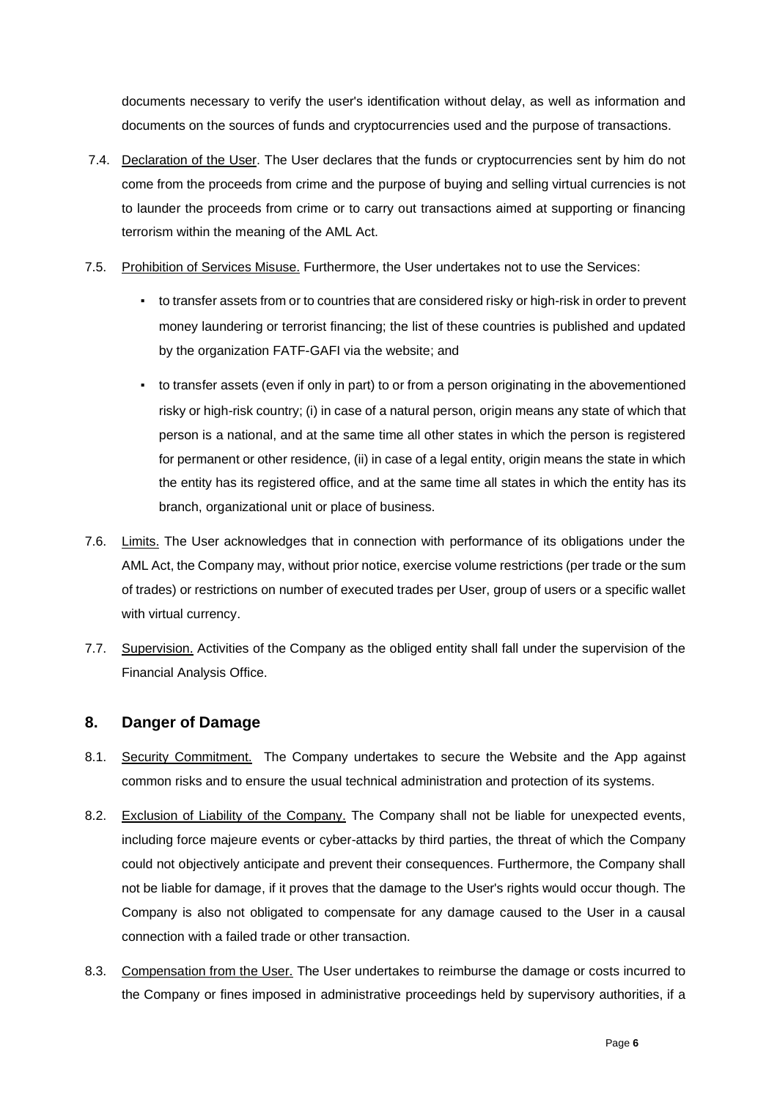documents necessary to verify the user's identification without delay, as well as information and documents on the sources of funds and cryptocurrencies used and the purpose of transactions.

- 7.4. Declaration of the User. The User declares that the funds or cryptocurrencies sent by him do not come from the proceeds from crime and the purpose of buying and selling virtual currencies is not to launder the proceeds from crime or to carry out transactions aimed at supporting or financing terrorism within the meaning of the AML Act.
- 7.5. Prohibition of Services Misuse. Furthermore, the User undertakes not to use the Services:
	- to transfer assets from or to countries that are considered risky or high-risk in order to prevent money laundering or terrorist financing; the list of these countries is published and updated by the organization FATF-GAFI via the website; and
	- to transfer assets (even if only in part) to or from a person originating in the abovementioned risky or high-risk country; (i) in case of a natural person, origin means any state of which that person is a national, and at the same time all other states in which the person is registered for permanent or other residence, (ii) in case of a legal entity, origin means the state in which the entity has its registered office, and at the same time all states in which the entity has its branch, organizational unit or place of business.
- 7.6. Limits. The User acknowledges that in connection with performance of its obligations under the AML Act, the Company may, without prior notice, exercise volume restrictions (per trade or the sum of trades) or restrictions on number of executed trades per User, group of users or a specific wallet with virtual currency.
- 7.7. Supervision. Activities of the Company as the obliged entity shall fall under the supervision of the Financial Analysis Office.

### **8. Danger of Damage**

- 8.1. Security Commitment. The Company undertakes to secure the Website and the App against common risks and to ensure the usual technical administration and protection of its systems.
- 8.2. Exclusion of Liability of the Company. The Company shall not be liable for unexpected events, including force majeure events or cyber-attacks by third parties, the threat of which the Company could not objectively anticipate and prevent their consequences. Furthermore, the Company shall not be liable for damage, if it proves that the damage to the User's rights would occur though. The Company is also not obligated to compensate for any damage caused to the User in a causal connection with a failed trade or other transaction.
- 8.3. Compensation from the User. The User undertakes to reimburse the damage or costs incurred to the Company or fines imposed in administrative proceedings held by supervisory authorities, if a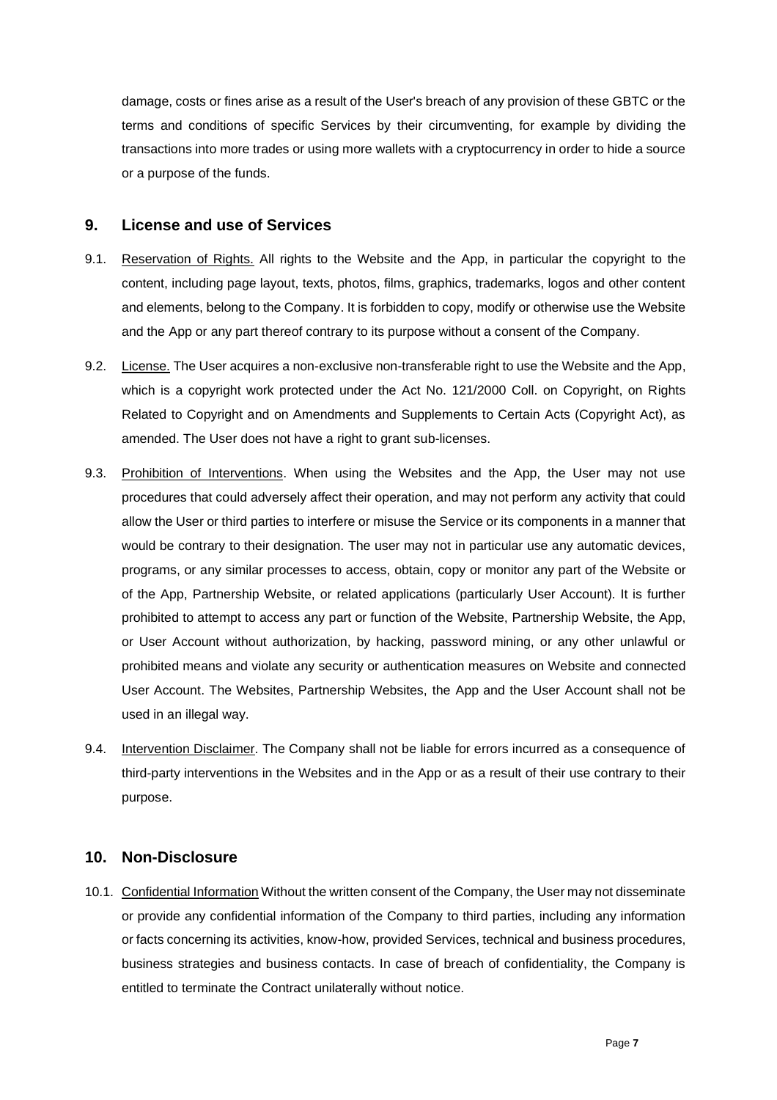damage, costs or fines arise as a result of the User's breach of any provision of these GBTC or the terms and conditions of specific Services by their circumventing, for example by dividing the transactions into more trades or using more wallets with a cryptocurrency in order to hide a source or a purpose of the funds.

#### **9. License and use of Services**

- 9.1. Reservation of Rights. All rights to the Website and the App, in particular the copyright to the content, including page layout, texts, photos, films, graphics, trademarks, logos and other content and elements, belong to the Company. It is forbidden to copy, modify or otherwise use the Website and the App or any part thereof contrary to its purpose without a consent of the Company.
- 9.2. License. The User acquires a non-exclusive non-transferable right to use the Website and the App, which is a copyright work protected under the Act No. 121/2000 Coll. on Copyright, on Rights Related to Copyright and on Amendments and Supplements to Certain Acts (Copyright Act), as amended. The User does not have a right to grant sub-licenses.
- 9.3. Prohibition of Interventions. When using the Websites and the App, the User may not use procedures that could adversely affect their operation, and may not perform any activity that could allow the User or third parties to interfere or misuse the Service or its components in a manner that would be contrary to their designation. The user may not in particular use any automatic devices, programs, or any similar processes to access, obtain, copy or monitor any part of the Website or of the App, Partnership Website, or related applications (particularly User Account). It is further prohibited to attempt to access any part or function of the Website, Partnership Website, the App, or User Account without authorization, by hacking, password mining, or any other unlawful or prohibited means and violate any security or authentication measures on Website and connected User Account. The Websites, Partnership Websites, the App and the User Account shall not be used in an illegal way.
- 9.4. Intervention Disclaimer. The Company shall not be liable for errors incurred as a consequence of third-party interventions in the Websites and in the App or as a result of their use contrary to their purpose.

### **10. Non-Disclosure**

10.1. Confidential Information Without the written consent of the Company, the User may not disseminate or provide any confidential information of the Company to third parties, including any information or facts concerning its activities, know-how, provided Services, technical and business procedures, business strategies and business contacts. In case of breach of confidentiality, the Company is entitled to terminate the Contract unilaterally without notice.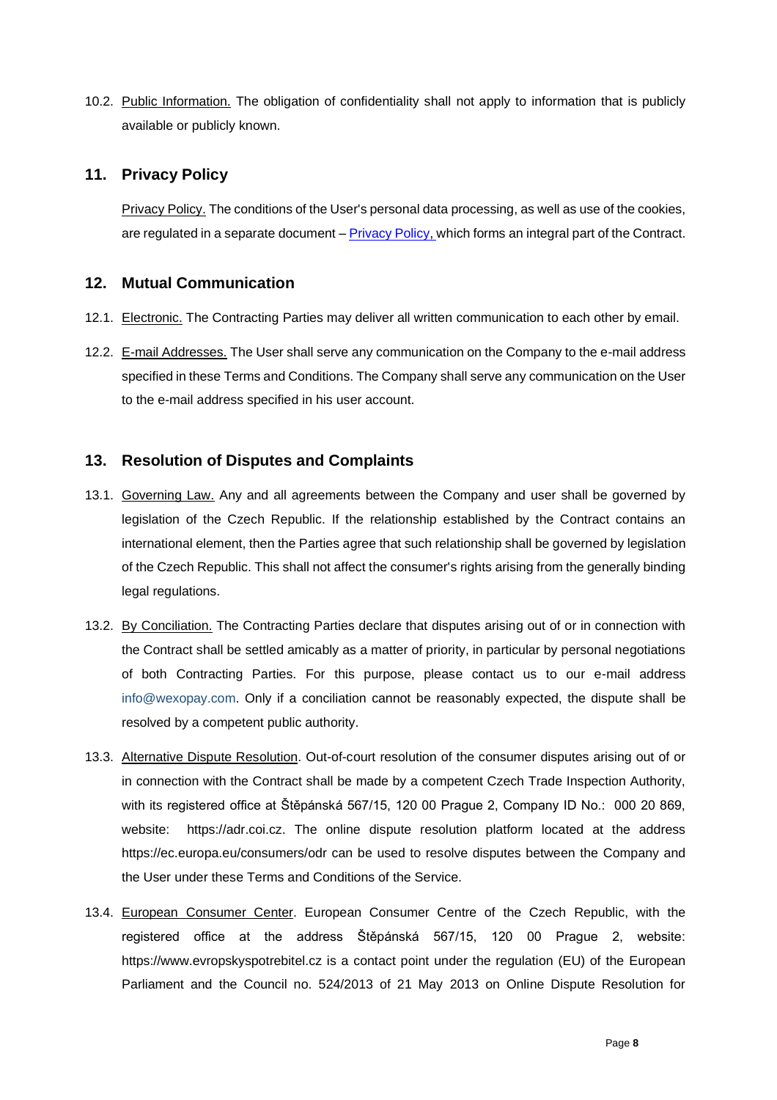10.2. Public Information. The obligation of confidentiality shall not apply to information that is publicly available or publicly known.

# **11. Privacy Policy**

Privacy Policy. The conditions of the User's personal data processing, as well as use of the cookies, are regulated in a separate document – Privacy Policy, which forms an integral part of the Contract.

# **12. Mutual Communication**

- 12.1. Electronic. The Contracting Parties may deliver all written communication to each other by email.
- 12.2. E-mail Addresses. The User shall serve any communication on the Company to the e-mail address specified in these Terms and Conditions. The Company shall serve any communication on the User to the e-mail address specified in his user account.

# **13. Resolution of Disputes and Complaints**

- 13.1. Governing Law. Any and all agreements between the Company and user shall be governed by legislation of the Czech Republic. If the relationship established by the Contract contains an international element, then the Parties agree that such relationship shall be governed by legislation of the Czech Republic. This shall not affect the consumer's rights arising from the generally binding legal regulations.
- 13.2. By Conciliation. The Contracting Parties declare that disputes arising out of or in connection with the Contract shall be settled amicably as a matter of priority, in particular by personal negotiations of both Contracting Parties. For this purpose, please contact us to our e-mail address info@wexopay.com. Only if a conciliation cannot be reasonably expected, the dispute shall be resolved by a competent public authority.
- 13.3. Alternative Dispute Resolution. Out-of-court resolution of the consumer disputes arising out of or in connection with the Contract shall be made by a competent Czech Trade Inspection Authority, with its registered office at Štěpánská 567/15, 120 00 Prague 2, Company ID No.: 000 20 869, website: https://adr.coi.cz. The online dispute resolution platform located at the address https://ec.europa.eu/consumers/odr can be used to resolve disputes between the Company and the User under these Terms and Conditions of the Service.
- 13.4. European Consumer Center. European Consumer Centre of the Czech Republic, with the registered office at the address Štěpánská 567/15, 120 00 Prague 2, website: https:/[/www.evropskyspotrebitel.cz](http://www.evropskyspotrebitel.cz/) [is](http://www.evropskyspotrebitel.cz/) a contact point under the regulation (EU) of the European Parliament and the Council no. 524/2013 of 21 May 2013 on Online Dispute Resolution for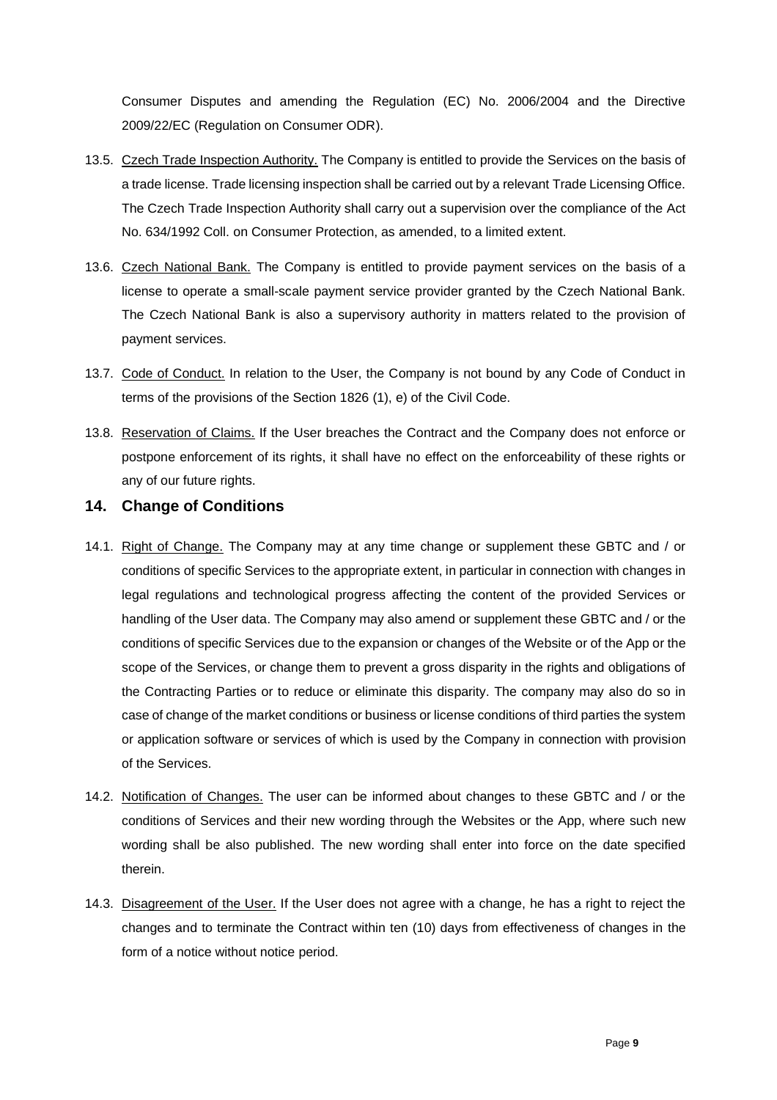Consumer Disputes and amending the Regulation (EC) No. 2006/2004 and the Directive 2009/22/EC (Regulation on Consumer ODR).

- 13.5. Czech Trade Inspection Authority. The Company is entitled to provide the Services on the basis of a trade license. Trade licensing inspection shall be carried out by a relevant Trade Licensing Office. The Czech Trade Inspection Authority shall carry out a supervision over the compliance of the Act No. 634/1992 Coll. on Consumer Protection, as amended, to a limited extent.
- 13.6. Czech National Bank. The Company is entitled to provide payment services on the basis of a license to operate a small-scale payment service provider granted by the Czech National Bank. The Czech National Bank is also a supervisory authority in matters related to the provision of payment services.
- 13.7. Code of Conduct. In relation to the User, the Company is not bound by any Code of Conduct in terms of the provisions of the Section 1826 (1), e) of the Civil Code.
- 13.8. Reservation of Claims. If the User breaches the Contract and the Company does not enforce or postpone enforcement of its rights, it shall have no effect on the enforceability of these rights or any of our future rights.

#### **14. Change of Conditions**

- 14.1. Right of Change. The Company may at any time change or supplement these GBTC and / or conditions of specific Services to the appropriate extent, in particular in connection with changes in legal regulations and technological progress affecting the content of the provided Services or handling of the User data. The Company may also amend or supplement these GBTC and / or the conditions of specific Services due to the expansion or changes of the Website or of the App or the scope of the Services, or change them to prevent a gross disparity in the rights and obligations of the Contracting Parties or to reduce or eliminate this disparity. The company may also do so in case of change of the market conditions or business or license conditions of third parties the system or application software or services of which is used by the Company in connection with provision of the Services.
- 14.2. Notification of Changes. The user can be informed about changes to these GBTC and / or the conditions of Services and their new wording through the Websites or the App, where such new wording shall be also published. The new wording shall enter into force on the date specified therein.
- 14.3. Disagreement of the User. If the User does not agree with a change, he has a right to reject the changes and to terminate the Contract within ten (10) days from effectiveness of changes in the form of a notice without notice period.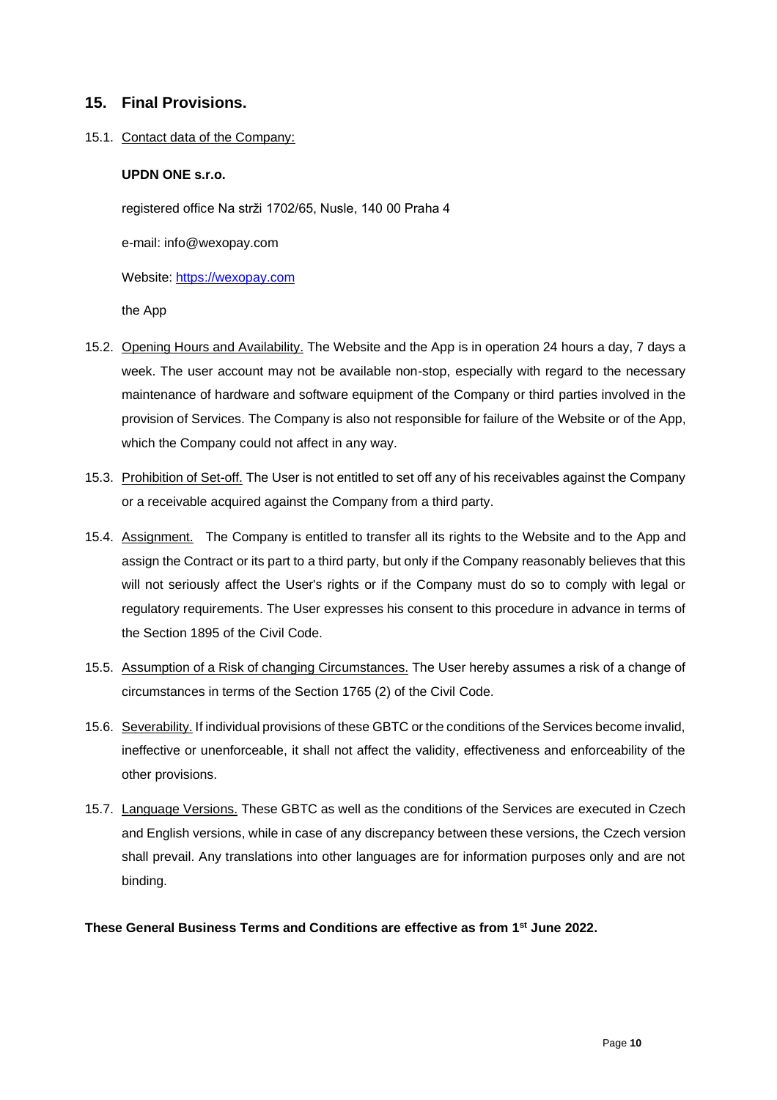### **15. Final Provisions.**

#### 15.1. Contact data of the Company:

#### **UPDN ONE s.r.o.**

registered office Na strži 1702/65, Nusle, 140 00 Praha 4

e-mail: info@wexopay.com

Website: https://wexopay.com

the App

- 15.2. Opening Hours and Availability. The Website and the App is in operation 24 hours a day, 7 days a week. The user account may not be available non-stop, especially with regard to the necessary maintenance of hardware and software equipment of the Company or third parties involved in the provision of Services. The Company is also not responsible for failure of the Website or of the App, which the Company could not affect in any way.
- 15.3. Prohibition of Set-off. The User is not entitled to set off any of his receivables against the Company or a receivable acquired against the Company from a third party.
- 15.4. Assignment. The Company is entitled to transfer all its rights to the Website and to the App and assign the Contract or its part to a third party, but only if the Company reasonably believes that this will not seriously affect the User's rights or if the Company must do so to comply with legal or regulatory requirements. The User expresses his consent to this procedure in advance in terms of the Section 1895 of the Civil Code.
- 15.5. Assumption of a Risk of changing Circumstances. The User hereby assumes a risk of a change of circumstances in terms of the Section 1765 (2) of the Civil Code.
- 15.6. Severability.If individual provisions of these GBTC or the conditions of the Services become invalid, ineffective or unenforceable, it shall not affect the validity, effectiveness and enforceability of the other provisions.
- 15.7. Language Versions. These GBTC as well as the conditions of the Services are executed in Czech and English versions, while in case of any discrepancy between these versions, the Czech version shall prevail. Any translations into other languages are for information purposes only and are not binding.

#### **These General Business Terms and Conditions are effective as from 1st June 2022.**